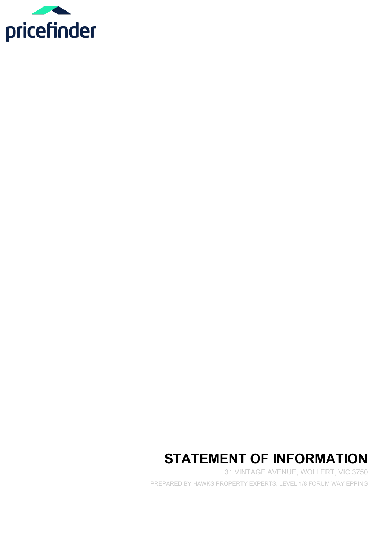

# **STATEMENT OF INFORMATION**

31 VINTAGE AVENUE, WOLLERT, VIC 3750 PREPARED BY HAWKS PROPERTY EXPERTS, LEVEL 1/8 FORUM WAY EPPING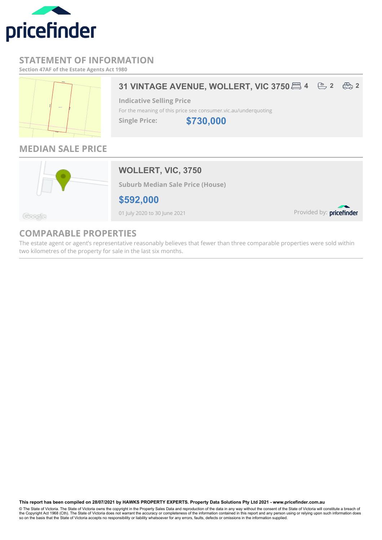

### **STATEMENT OF INFORMATION**

**Section 47AF of the Estate Agents Act 1980**



## **31 VINTAGE AVENUE, WOLLERT, VIC 3750 <b>2 4 2**  $\oplus$  **2**  $\oplus$  **2**

**Indicative Selling Price** For the meaning of this price see consumer.vic.au/underquoting

**Single Price:**

**\$730,000**

# **MEDIAN SALE PRICE**



**WOLLERT, VIC, 3750**

**Suburb Median Sale Price (House)**

**\$592,000**

01 July 2020 to 30 June 2021

Provided by: pricefinder

#### Geogle

# **COMPARABLE PROPERTIES**

The estate agent or agent's representative reasonably believes that fewer than three comparable properties were sold within two kilometres of the property for sale in the last six months.

**This report has been compiled on 28/07/2021 by HAWKS PROPERTY EXPERTS. Property Data Solutions Pty Ltd 2021 - www.pricefinder.com.au**

© The State of Victoria. The State of Victoria owns the copyright in the Property Sales Data and reproduction of the data in any way without the consent of the State of Victoria will constitute a breach of<br>the Copyright Ac so on the basis that the State of Victoria accepts no responsibility or liability whatsoever for any errors, faults, defects or omissions in the information supplied.